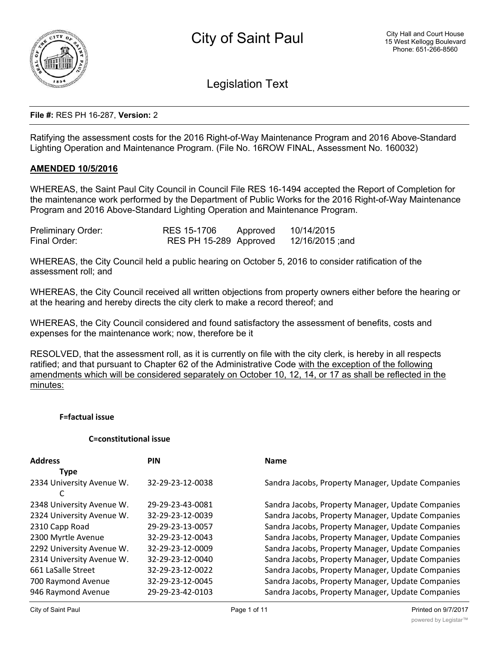

Legislation Text

#### **File #:** RES PH 16-287, **Version:** 2

Ratifying the assessment costs for the 2016 Right-of-Way Maintenance Program and 2016 Above-Standard Lighting Operation and Maintenance Program. (File No. 16ROW FINAL, Assessment No. 160032)

### **AMENDED 10/5/2016**

WHEREAS, the Saint Paul City Council in Council File RES 16-1494 accepted the Report of Completion for the maintenance work performed by the Department of Public Works for the 2016 Right-of-Way Maintenance Program and 2016 Above-Standard Lighting Operation and Maintenance Program.

| <b>Preliminary Order:</b> | RES 15-1706            | Approved | 10/14/2015      |
|---------------------------|------------------------|----------|-----------------|
| Final Order:              | RES PH 15-289 Approved |          | 12/16/2015 ;and |

WHEREAS, the City Council held a public hearing on October 5, 2016 to consider ratification of the assessment roll; and

WHEREAS, the City Council received all written objections from property owners either before the hearing or at the hearing and hereby directs the city clerk to make a record thereof; and

WHEREAS, the City Council considered and found satisfactory the assessment of benefits, costs and expenses for the maintenance work; now, therefore be it

RESOLVED, that the assessment roll, as it is currently on file with the city clerk, is hereby in all respects ratified; and that pursuant to Chapter 62 of the Administrative Code with the exception of the following amendments which will be considered separately on October 10, 12, 14, or 17 as shall be reflected in the minutes:

#### **F=factual issue**

### **C=constitutional issue**

| <b>Address</b>            | <b>PIN</b>       | <b>Name</b>                                       |
|---------------------------|------------------|---------------------------------------------------|
| <b>Type</b>               |                  |                                                   |
| 2334 University Avenue W. | 32-29-23-12-0038 | Sandra Jacobs, Property Manager, Update Companies |
| C                         |                  |                                                   |
| 2348 University Avenue W. | 29-29-23-43-0081 | Sandra Jacobs, Property Manager, Update Companies |
| 2324 University Avenue W. | 32-29-23-12-0039 | Sandra Jacobs, Property Manager, Update Companies |
| 2310 Capp Road            | 29-29-23-13-0057 | Sandra Jacobs, Property Manager, Update Companies |
| 2300 Myrtle Avenue        | 32-29-23-12-0043 | Sandra Jacobs, Property Manager, Update Companies |
| 2292 University Avenue W. | 32-29-23-12-0009 | Sandra Jacobs, Property Manager, Update Companies |
| 2314 University Avenue W. | 32-29-23-12-0040 | Sandra Jacobs, Property Manager, Update Companies |
| 661 LaSalle Street        | 32-29-23-12-0022 | Sandra Jacobs, Property Manager, Update Companies |
| 700 Raymond Avenue        | 32-29-23-12-0045 | Sandra Jacobs, Property Manager, Update Companies |
| 946 Raymond Avenue        | 29-29-23-42-0103 | Sandra Jacobs, Property Manager, Update Companies |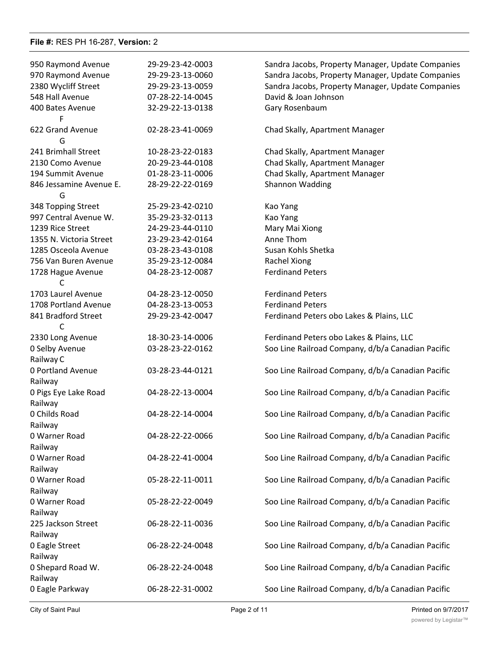| 950 Raymond Avenue              | 29-29-23-42-0003 | Sandra Jacobs, Property Manager, Update Companies |
|---------------------------------|------------------|---------------------------------------------------|
| 970 Raymond Avenue              | 29-29-23-13-0060 | Sandra Jacobs, Property Manager, Update Companies |
| 2380 Wycliff Street             | 29-29-23-13-0059 | Sandra Jacobs, Property Manager, Update Companies |
| 548 Hall Avenue                 | 07-28-22-14-0045 | David & Joan Johnson                              |
| 400 Bates Avenue<br>F           | 32-29-22-13-0138 | Gary Rosenbaum                                    |
| 622 Grand Avenue<br>G           | 02-28-23-41-0069 | Chad Skally, Apartment Manager                    |
| 241 Brimhall Street             | 10-28-23-22-0183 | Chad Skally, Apartment Manager                    |
| 2130 Como Avenue                | 20-29-23-44-0108 | Chad Skally, Apartment Manager                    |
| 194 Summit Avenue               | 01-28-23-11-0006 | Chad Skally, Apartment Manager                    |
| 846 Jessamine Avenue E.<br>G    | 28-29-22-22-0169 | Shannon Wadding                                   |
| 348 Topping Street              | 25-29-23-42-0210 | Kao Yang                                          |
| 997 Central Avenue W.           | 35-29-23-32-0113 | Kao Yang                                          |
| 1239 Rice Street                | 24-29-23-44-0110 | Mary Mai Xiong                                    |
| 1355 N. Victoria Street         | 23-29-23-42-0164 | Anne Thom                                         |
| 1285 Osceola Avenue             | 03-28-23-43-0108 | Susan Kohls Shetka                                |
| 756 Van Buren Avenue            | 35-29-23-12-0084 | Rachel Xiong                                      |
| 1728 Hague Avenue               | 04-28-23-12-0087 | <b>Ferdinand Peters</b>                           |
| C                               |                  |                                                   |
| 1703 Laurel Avenue              | 04-28-23-12-0050 | <b>Ferdinand Peters</b>                           |
| 1708 Portland Avenue            | 04-28-23-13-0053 | <b>Ferdinand Peters</b>                           |
| 841 Bradford Street             | 29-29-23-42-0047 | Ferdinand Peters obo Lakes & Plains, LLC          |
| 2330 Long Avenue                | 18-30-23-14-0006 | Ferdinand Peters obo Lakes & Plains, LLC          |
| 0 Selby Avenue                  | 03-28-23-22-0162 | Soo Line Railroad Company, d/b/a Canadian Pacific |
| Railway C                       |                  |                                                   |
| 0 Portland Avenue               | 03-28-23-44-0121 | Soo Line Railroad Company, d/b/a Canadian Pacific |
| Railway                         |                  |                                                   |
| 0 Pigs Eye Lake Road<br>Railway | 04-28-22-13-0004 | Soo Line Railroad Company, d/b/a Canadian Pacific |
| 0 Childs Road                   | 04-28-22-14-0004 | Soo Line Railroad Company, d/b/a Canadian Pacific |
| Railway                         |                  |                                                   |
| 0 Warner Road                   | 04-28-22-22-0066 | Soo Line Railroad Company, d/b/a Canadian Pacific |
| Railway                         |                  |                                                   |
| 0 Warner Road                   | 04-28-22-41-0004 | Soo Line Railroad Company, d/b/a Canadian Pacific |
|                                 |                  |                                                   |
| Railway                         | 05-28-22-11-0011 |                                                   |
| 0 Warner Road                   |                  | Soo Line Railroad Company, d/b/a Canadian Pacific |
| Railway                         |                  |                                                   |
| 0 Warner Road                   | 05-28-22-22-0049 | Soo Line Railroad Company, d/b/a Canadian Pacific |
| Railway                         |                  |                                                   |
| 225 Jackson Street              | 06-28-22-11-0036 | Soo Line Railroad Company, d/b/a Canadian Pacific |
| Railway                         |                  |                                                   |
| 0 Eagle Street                  | 06-28-22-24-0048 | Soo Line Railroad Company, d/b/a Canadian Pacific |
| Railway                         |                  |                                                   |
| 0 Shepard Road W.               | 06-28-22-24-0048 | Soo Line Railroad Company, d/b/a Canadian Pacific |
| Railway                         |                  |                                                   |
| 0 Eagle Parkway                 | 06-28-22-31-0002 | Soo Line Railroad Company, d/b/a Canadian Pacific |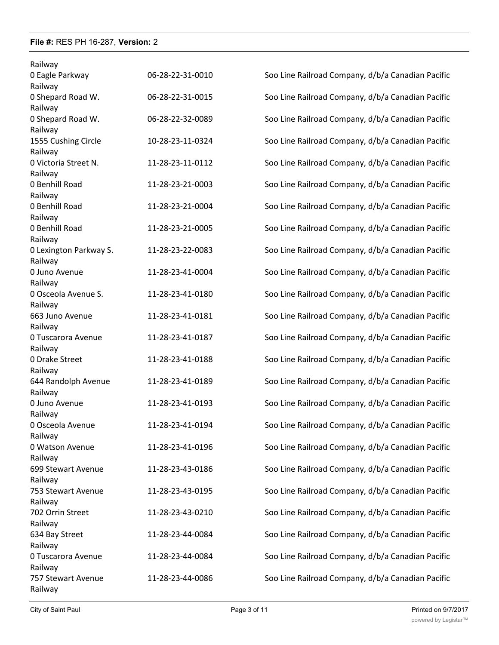| Railway                           |                  |                                                   |
|-----------------------------------|------------------|---------------------------------------------------|
| 0 Eagle Parkway                   | 06-28-22-31-0010 | Soo Line Railroad Company, d/b/a Canadian Pacific |
| Railway                           |                  |                                                   |
| 0 Shepard Road W.                 | 06-28-22-31-0015 | Soo Line Railroad Company, d/b/a Canadian Pacific |
| Railway                           |                  |                                                   |
| 0 Shepard Road W.                 | 06-28-22-32-0089 | Soo Line Railroad Company, d/b/a Canadian Pacific |
| Railway                           |                  |                                                   |
| 1555 Cushing Circle               | 10-28-23-11-0324 | Soo Line Railroad Company, d/b/a Canadian Pacific |
| Railway                           |                  |                                                   |
| 0 Victoria Street N.              | 11-28-23-11-0112 | Soo Line Railroad Company, d/b/a Canadian Pacific |
| Railway                           |                  |                                                   |
| 0 Benhill Road                    | 11-28-23-21-0003 | Soo Line Railroad Company, d/b/a Canadian Pacific |
| Railway                           |                  |                                                   |
| 0 Benhill Road                    | 11-28-23-21-0004 | Soo Line Railroad Company, d/b/a Canadian Pacific |
| Railway                           |                  |                                                   |
| 0 Benhill Road                    | 11-28-23-21-0005 | Soo Line Railroad Company, d/b/a Canadian Pacific |
| Railway<br>0 Lexington Parkway S. | 11-28-23-22-0083 |                                                   |
| Railway                           |                  | Soo Line Railroad Company, d/b/a Canadian Pacific |
| 0 Juno Avenue                     | 11-28-23-41-0004 | Soo Line Railroad Company, d/b/a Canadian Pacific |
| Railway                           |                  |                                                   |
| 0 Osceola Avenue S.               | 11-28-23-41-0180 | Soo Line Railroad Company, d/b/a Canadian Pacific |
| Railway                           |                  |                                                   |
| 663 Juno Avenue                   | 11-28-23-41-0181 | Soo Line Railroad Company, d/b/a Canadian Pacific |
| Railway                           |                  |                                                   |
| 0 Tuscarora Avenue                | 11-28-23-41-0187 | Soo Line Railroad Company, d/b/a Canadian Pacific |
| Railway                           |                  |                                                   |
| 0 Drake Street                    | 11-28-23-41-0188 | Soo Line Railroad Company, d/b/a Canadian Pacific |
| Railway                           |                  |                                                   |
| 644 Randolph Avenue               | 11-28-23-41-0189 | Soo Line Railroad Company, d/b/a Canadian Pacific |
| Railway                           |                  |                                                   |
| 0 Juno Avenue                     | 11-28-23-41-0193 | Soo Line Railroad Company, d/b/a Canadian Pacific |
| Railway                           |                  |                                                   |
| 0 Osceola Avenue                  | 11-28-23-41-0194 | Soo Line Railroad Company, d/b/a Canadian Pacific |
| Railway                           |                  |                                                   |
| 0 Watson Avenue                   | 11-28-23-41-0196 | Soo Line Railroad Company, d/b/a Canadian Pacific |
| Railway<br>699 Stewart Avenue     | 11-28-23-43-0186 | Soo Line Railroad Company, d/b/a Canadian Pacific |
| Railway                           |                  |                                                   |
| 753 Stewart Avenue                | 11-28-23-43-0195 | Soo Line Railroad Company, d/b/a Canadian Pacific |
| Railway                           |                  |                                                   |
| 702 Orrin Street                  | 11-28-23-43-0210 | Soo Line Railroad Company, d/b/a Canadian Pacific |
| Railway                           |                  |                                                   |
| 634 Bay Street                    | 11-28-23-44-0084 | Soo Line Railroad Company, d/b/a Canadian Pacific |
| Railway                           |                  |                                                   |
| 0 Tuscarora Avenue                | 11-28-23-44-0084 | Soo Line Railroad Company, d/b/a Canadian Pacific |
| Railway                           |                  |                                                   |
| 757 Stewart Avenue                | 11-28-23-44-0086 | Soo Line Railroad Company, d/b/a Canadian Pacific |
| Railway                           |                  |                                                   |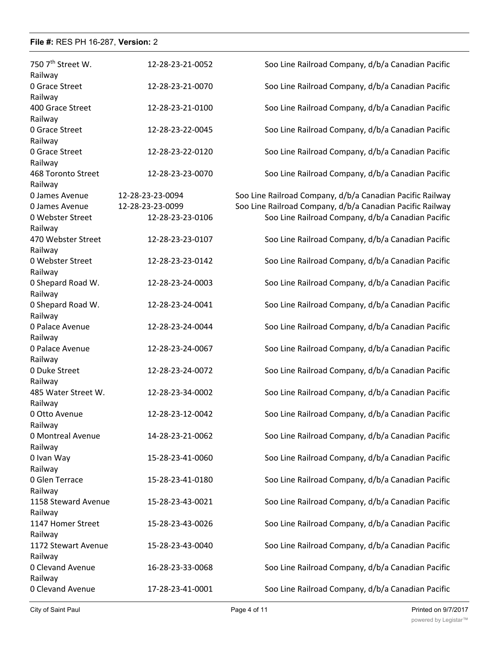| 750 7 <sup>th</sup> Street W. | 12-28-23-21-0052 | Soo Line Railroad Company, d/b/a Canadian Pacific         |
|-------------------------------|------------------|-----------------------------------------------------------|
| Railway                       |                  |                                                           |
| 0 Grace Street                | 12-28-23-21-0070 | Soo Line Railroad Company, d/b/a Canadian Pacific         |
| Railway                       |                  |                                                           |
| 400 Grace Street              | 12-28-23-21-0100 | Soo Line Railroad Company, d/b/a Canadian Pacific         |
| Railway                       |                  |                                                           |
| 0 Grace Street                | 12-28-23-22-0045 | Soo Line Railroad Company, d/b/a Canadian Pacific         |
| Railway                       |                  |                                                           |
| 0 Grace Street<br>Railway     | 12-28-23-22-0120 | Soo Line Railroad Company, d/b/a Canadian Pacific         |
| 468 Toronto Street            | 12-28-23-23-0070 | Soo Line Railroad Company, d/b/a Canadian Pacific         |
| Railway                       |                  |                                                           |
| 0 James Avenue                | 12-28-23-23-0094 | Soo Line Railroad Company, d/b/a Canadian Pacific Railway |
| 0 James Avenue                | 12-28-23-23-0099 | Soo Line Railroad Company, d/b/a Canadian Pacific Railway |
| 0 Webster Street              | 12-28-23-23-0106 | Soo Line Railroad Company, d/b/a Canadian Pacific         |
| Railway                       |                  |                                                           |
| 470 Webster Street            | 12-28-23-23-0107 | Soo Line Railroad Company, d/b/a Canadian Pacific         |
| Railway                       |                  |                                                           |
| 0 Webster Street              | 12-28-23-23-0142 | Soo Line Railroad Company, d/b/a Canadian Pacific         |
| Railway                       |                  |                                                           |
| 0 Shepard Road W.             | 12-28-23-24-0003 | Soo Line Railroad Company, d/b/a Canadian Pacific         |
| Railway                       |                  |                                                           |
| 0 Shepard Road W.             | 12-28-23-24-0041 | Soo Line Railroad Company, d/b/a Canadian Pacific         |
| Railway                       |                  |                                                           |
| 0 Palace Avenue               | 12-28-23-24-0044 | Soo Line Railroad Company, d/b/a Canadian Pacific         |
| Railway                       |                  |                                                           |
| 0 Palace Avenue               | 12-28-23-24-0067 | Soo Line Railroad Company, d/b/a Canadian Pacific         |
| Railway                       |                  |                                                           |
| 0 Duke Street                 | 12-28-23-24-0072 | Soo Line Railroad Company, d/b/a Canadian Pacific         |
| Railway                       |                  |                                                           |
| 485 Water Street W.           | 12-28-23-34-0002 | Soo Line Railroad Company, d/b/a Canadian Pacific         |
| Railway                       |                  |                                                           |
| 0 Otto Avenue                 | 12-28-23-12-0042 | Soo Line Railroad Company, d/b/a Canadian Pacific         |
| Railway                       |                  |                                                           |
| 0 Montreal Avenue             | 14-28-23-21-0062 | Soo Line Railroad Company, d/b/a Canadian Pacific         |
| Railway                       |                  |                                                           |
| 0 Ivan Way                    | 15-28-23-41-0060 | Soo Line Railroad Company, d/b/a Canadian Pacific         |
| Railway                       |                  |                                                           |
| 0 Glen Terrace                | 15-28-23-41-0180 | Soo Line Railroad Company, d/b/a Canadian Pacific         |
| Railway                       |                  |                                                           |
| 1158 Steward Avenue           | 15-28-23-43-0021 | Soo Line Railroad Company, d/b/a Canadian Pacific         |
| Railway                       |                  |                                                           |
| 1147 Homer Street             | 15-28-23-43-0026 | Soo Line Railroad Company, d/b/a Canadian Pacific         |
| Railway                       |                  |                                                           |
| 1172 Stewart Avenue           | 15-28-23-43-0040 | Soo Line Railroad Company, d/b/a Canadian Pacific         |
| Railway                       |                  |                                                           |
| 0 Clevand Avenue              | 16-28-23-33-0068 | Soo Line Railroad Company, d/b/a Canadian Pacific         |
| Railway                       |                  |                                                           |
| 0 Clevand Avenue              | 17-28-23-41-0001 | Soo Line Railroad Company, d/b/a Canadian Pacific         |
|                               |                  |                                                           |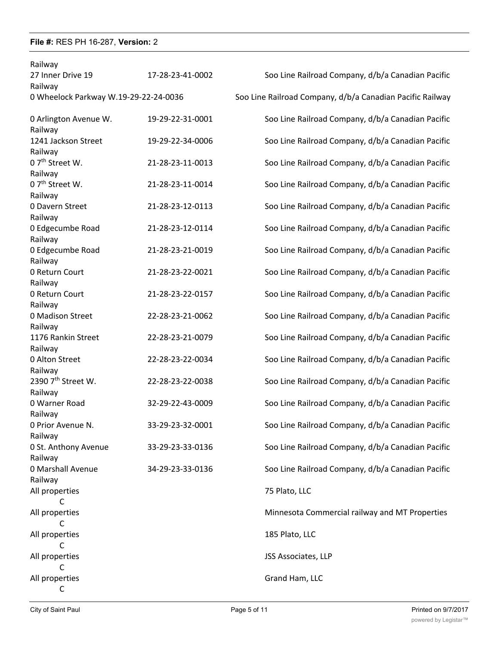| Railway                                |                  |                                                           |
|----------------------------------------|------------------|-----------------------------------------------------------|
| 27 Inner Drive 19                      | 17-28-23-41-0002 | Soo Line Railroad Company, d/b/a Canadian Pacific         |
| Railway                                |                  |                                                           |
| 0 Wheelock Parkway W.19-29-22-24-0036  |                  | Soo Line Railroad Company, d/b/a Canadian Pacific Railway |
| 0 Arlington Avenue W.<br>Railway       | 19-29-22-31-0001 | Soo Line Railroad Company, d/b/a Canadian Pacific         |
| 1241 Jackson Street<br>Railway         | 19-29-22-34-0006 | Soo Line Railroad Company, d/b/a Canadian Pacific         |
| 0 7 <sup>th</sup> Street W.<br>Railway | 21-28-23-11-0013 | Soo Line Railroad Company, d/b/a Canadian Pacific         |
| 0 7 <sup>th</sup> Street W.<br>Railway | 21-28-23-11-0014 | Soo Line Railroad Company, d/b/a Canadian Pacific         |
| 0 Davern Street<br>Railway             | 21-28-23-12-0113 | Soo Line Railroad Company, d/b/a Canadian Pacific         |
| 0 Edgecumbe Road<br>Railway            | 21-28-23-12-0114 | Soo Line Railroad Company, d/b/a Canadian Pacific         |
| 0 Edgecumbe Road<br>Railway            | 21-28-23-21-0019 | Soo Line Railroad Company, d/b/a Canadian Pacific         |
| 0 Return Court<br>Railway              | 21-28-23-22-0021 | Soo Line Railroad Company, d/b/a Canadian Pacific         |
| 0 Return Court<br>Railway              | 21-28-23-22-0157 | Soo Line Railroad Company, d/b/a Canadian Pacific         |
| 0 Madison Street<br>Railway            | 22-28-23-21-0062 | Soo Line Railroad Company, d/b/a Canadian Pacific         |
| 1176 Rankin Street<br>Railway          | 22-28-23-21-0079 | Soo Line Railroad Company, d/b/a Canadian Pacific         |
| 0 Alton Street<br>Railway              | 22-28-23-22-0034 | Soo Line Railroad Company, d/b/a Canadian Pacific         |
| 2390 7th Street W.<br>Railway          | 22-28-23-22-0038 | Soo Line Railroad Company, d/b/a Canadian Pacific         |
| 0 Warner Road<br>Railway               | 32-29-22-43-0009 | Soo Line Railroad Company, d/b/a Canadian Pacific         |
| 0 Prior Avenue N.<br>Railway           | 33-29-23-32-0001 | Soo Line Railroad Company, d/b/a Canadian Pacific         |
| 0 St. Anthony Avenue<br>Railway        | 33-29-23-33-0136 | Soo Line Railroad Company, d/b/a Canadian Pacific         |
| 0 Marshall Avenue<br>Railway           | 34-29-23-33-0136 | Soo Line Railroad Company, d/b/a Canadian Pacific         |
| All properties<br>C                    |                  | 75 Plato, LLC                                             |
| All properties<br>C                    |                  | Minnesota Commercial railway and MT Properties            |
| All properties<br>C                    |                  | 185 Plato, LLC                                            |
| All properties<br>C                    |                  | JSS Associates, LLP                                       |
| All properties<br>C                    |                  | Grand Ham, LLC                                            |
|                                        |                  |                                                           |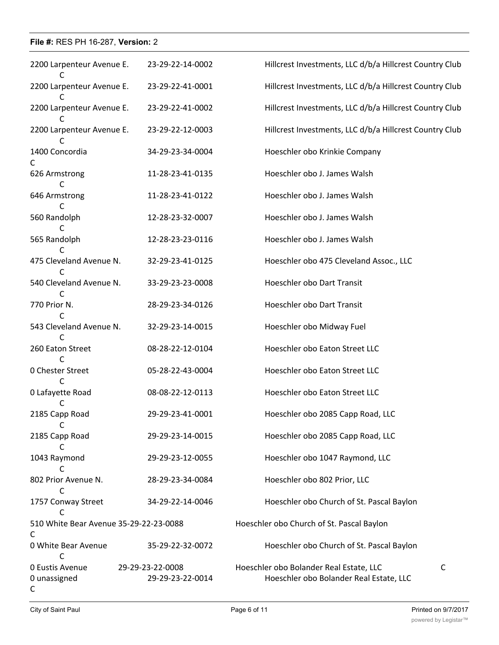| 2200 Larpenteur Avenue E.                 | 23-29-22-14-0002                     | Hillcrest Investments, LLC d/b/a Hillcrest Country Club                            |             |
|-------------------------------------------|--------------------------------------|------------------------------------------------------------------------------------|-------------|
| 2200 Larpenteur Avenue E.                 | 23-29-22-41-0001                     | Hillcrest Investments, LLC d/b/a Hillcrest Country Club                            |             |
| C<br>2200 Larpenteur Avenue E.            | 23-29-22-41-0002                     | Hillcrest Investments, LLC d/b/a Hillcrest Country Club                            |             |
| 2200 Larpenteur Avenue E.                 | 23-29-22-12-0003                     | Hillcrest Investments, LLC d/b/a Hillcrest Country Club                            |             |
| 1400 Concordia                            | 34-29-23-34-0004                     | Hoeschler obo Krinkie Company                                                      |             |
| C<br>626 Armstrong                        | 11-28-23-41-0135                     | Hoeschler obo J. James Walsh                                                       |             |
| C<br>646 Armstrong                        | 11-28-23-41-0122                     | Hoeschler obo J. James Walsh                                                       |             |
| 560 Randolph                              | 12-28-23-32-0007                     | Hoeschler obo J. James Walsh                                                       |             |
| 565 Randolph                              | 12-28-23-23-0116                     | Hoeschler obo J. James Walsh                                                       |             |
| 475 Cleveland Avenue N.                   | 32-29-23-41-0125                     | Hoeschler obo 475 Cleveland Assoc., LLC                                            |             |
| 540 Cleveland Avenue N.                   | 33-29-23-23-0008                     | Hoeschler obo Dart Transit                                                         |             |
| C<br>770 Prior N.                         | 28-29-23-34-0126                     | Hoeschler obo Dart Transit                                                         |             |
| 543 Cleveland Avenue N.                   | 32-29-23-14-0015                     | Hoeschler obo Midway Fuel                                                          |             |
| C<br>260 Eaton Street                     | 08-28-22-12-0104                     | Hoeschler obo Eaton Street LLC                                                     |             |
| C<br>0 Chester Street                     | 05-28-22-43-0004                     | Hoeschler obo Eaton Street LLC                                                     |             |
| C<br>0 Lafayette Road                     | 08-08-22-12-0113                     | Hoeschler obo Eaton Street LLC                                                     |             |
| 2185 Capp Road                            | 29-29-23-41-0001                     | Hoeschler obo 2085 Capp Road, LLC                                                  |             |
| С<br>2185 Capp Road                       | 29-29-23-14-0015                     | Hoeschler obo 2085 Capp Road, LLC                                                  |             |
| 1043 Raymond                              | 29-29-23-12-0055                     | Hoeschler obo 1047 Raymond, LLC                                                    |             |
| C<br>802 Prior Avenue N.                  | 28-29-23-34-0084                     | Hoeschler obo 802 Prior, LLC                                                       |             |
| С<br>1757 Conway Street<br>C              | 34-29-22-14-0046                     | Hoeschler obo Church of St. Pascal Baylon                                          |             |
| 510 White Bear Avenue 35-29-22-23-0088    |                                      | Hoeschler obo Church of St. Pascal Baylon                                          |             |
| C<br>0 White Bear Avenue                  | 35-29-22-32-0072                     | Hoeschler obo Church of St. Pascal Baylon                                          |             |
| C<br>0 Eustis Avenue<br>0 unassigned<br>C | 29-29-23-22-0008<br>29-29-23-22-0014 | Hoeschler obo Bolander Real Estate, LLC<br>Hoeschler obo Bolander Real Estate, LLC | $\mathsf C$ |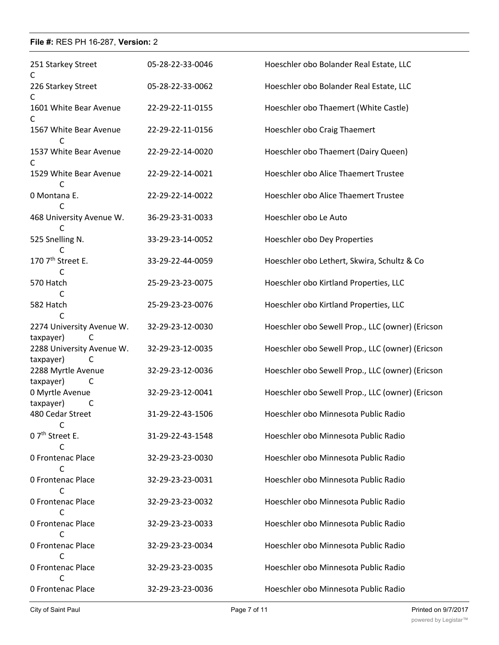| 251 Starkey Street<br>C                     | 05-28-22-33-0046 | Hoeschler obo Bolander Real Estate, LLC          |
|---------------------------------------------|------------------|--------------------------------------------------|
| 226 Starkey Street<br>C                     | 05-28-22-33-0062 | Hoeschler obo Bolander Real Estate, LLC          |
| 1601 White Bear Avenue<br>C                 | 22-29-22-11-0155 | Hoeschler obo Thaemert (White Castle)            |
| 1567 White Bear Avenue<br>C                 | 22-29-22-11-0156 | Hoeschler obo Craig Thaemert                     |
| 1537 White Bear Avenue<br>C                 | 22-29-22-14-0020 | Hoeschler obo Thaemert (Dairy Queen)             |
| 1529 White Bear Avenue<br>C                 | 22-29-22-14-0021 | Hoeschler obo Alice Thaemert Trustee             |
| 0 Montana E.<br>C                           | 22-29-22-14-0022 | Hoeschler obo Alice Thaemert Trustee             |
| 468 University Avenue W.                    | 36-29-23-31-0033 | Hoeschler obo Le Auto                            |
| 525 Snelling N.<br>C                        | 33-29-23-14-0052 | Hoeschler obo Dey Properties                     |
| 170 7 <sup>th</sup> Street E.<br>C          | 33-29-22-44-0059 | Hoeschler obo Lethert, Skwira, Schultz & Co      |
| 570 Hatch<br>C                              | 25-29-23-23-0075 | Hoeschler obo Kirtland Properties, LLC           |
| 582 Hatch<br>C                              | 25-29-23-23-0076 | Hoeschler obo Kirtland Properties, LLC           |
| 2274 University Avenue W.<br>C<br>taxpayer) | 32-29-23-12-0030 | Hoeschler obo Sewell Prop., LLC (owner) (Ericson |
| 2288 University Avenue W.<br>taxpayer)<br>C | 32-29-23-12-0035 | Hoeschler obo Sewell Prop., LLC (owner) (Ericson |
| 2288 Myrtle Avenue<br>taxpayer)<br>C        | 32-29-23-12-0036 | Hoeschler obo Sewell Prop., LLC (owner) (Ericson |
| 0 Myrtle Avenue<br>taxpayer)<br>C           | 32-29-23-12-0041 | Hoeschler obo Sewell Prop., LLC (owner) (Ericson |
| 480 Cedar Street<br>C                       | 31-29-22-43-1506 | Hoeschler obo Minnesota Public Radio             |
| 0 7 <sup>th</sup> Street E.                 | 31-29-22-43-1548 | Hoeschler obo Minnesota Public Radio             |
| <b>0 Frontenac Place</b><br>C               | 32-29-23-23-0030 | Hoeschler obo Minnesota Public Radio             |
| 0 Frontenac Place<br>C                      | 32-29-23-23-0031 | Hoeschler obo Minnesota Public Radio             |
| <b>0 Frontenac Place</b><br>C               | 32-29-23-23-0032 | Hoeschler obo Minnesota Public Radio             |
| 0 Frontenac Place                           | 32-29-23-23-0033 | Hoeschler obo Minnesota Public Radio             |
| <b>0 Frontenac Place</b>                    | 32-29-23-23-0034 | Hoeschler obo Minnesota Public Radio             |
| 0 Frontenac Place<br>C                      | 32-29-23-23-0035 | Hoeschler obo Minnesota Public Radio             |
| <b>0 Frontenac Place</b>                    | 32-29-23-23-0036 | Hoeschler obo Minnesota Public Radio             |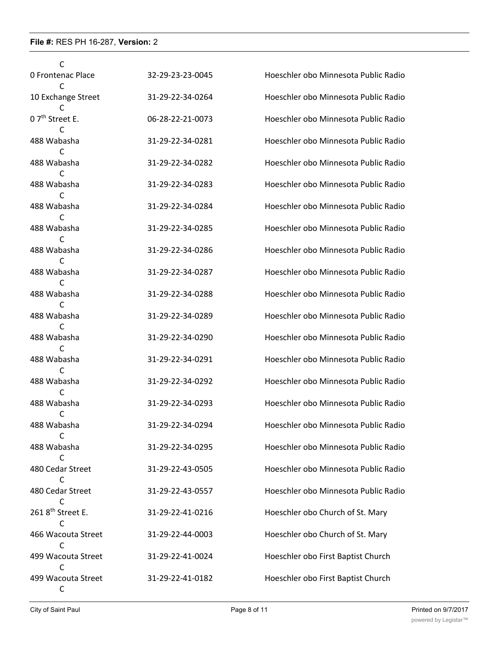| C                             |                  |                                      |
|-------------------------------|------------------|--------------------------------------|
| <b>0 Frontenac Place</b>      | 32-29-23-23-0045 | Hoeschler obo Minnesota Public Radio |
| 10 Exchange Street            | 31-29-22-34-0264 | Hoeschler obo Minnesota Public Radio |
| 0 7 <sup>th</sup> Street E.   | 06-28-22-21-0073 | Hoeschler obo Minnesota Public Radio |
| 488 Wabasha<br>C              | 31-29-22-34-0281 | Hoeschler obo Minnesota Public Radio |
| 488 Wabasha                   | 31-29-22-34-0282 | Hoeschler obo Minnesota Public Radio |
| 488 Wabasha                   | 31-29-22-34-0283 | Hoeschler obo Minnesota Public Radio |
| 488 Wabasha                   | 31-29-22-34-0284 | Hoeschler obo Minnesota Public Radio |
| 488 Wabasha                   | 31-29-22-34-0285 | Hoeschler obo Minnesota Public Radio |
| C<br>488 Wabasha              | 31-29-22-34-0286 | Hoeschler obo Minnesota Public Radio |
| 488 Wabasha                   | 31-29-22-34-0287 | Hoeschler obo Minnesota Public Radio |
| C<br>488 Wabasha              | 31-29-22-34-0288 | Hoeschler obo Minnesota Public Radio |
| 488 Wabasha                   | 31-29-22-34-0289 | Hoeschler obo Minnesota Public Radio |
| C<br>488 Wabasha              | 31-29-22-34-0290 | Hoeschler obo Minnesota Public Radio |
| 488 Wabasha                   | 31-29-22-34-0291 | Hoeschler obo Minnesota Public Radio |
| 488 Wabasha                   | 31-29-22-34-0292 | Hoeschler obo Minnesota Public Radio |
| 488 Wabasha                   | 31-29-22-34-0293 | Hoeschler obo Minnesota Public Radio |
| C<br>488 Wabasha              | 31-29-22-34-0294 | Hoeschler obo Minnesota Public Radio |
| C<br>488 Wabasha              | 31-29-22-34-0295 | Hoeschler obo Minnesota Public Radio |
| C<br>480 Cedar Street         | 31-29-22-43-0505 | Hoeschler obo Minnesota Public Radio |
| C<br>480 Cedar Street         | 31-29-22-43-0557 | Hoeschler obo Minnesota Public Radio |
| 261 8 <sup>th</sup> Street E. | 31-29-22-41-0216 | Hoeschler obo Church of St. Mary     |
| C<br>466 Wacouta Street       | 31-29-22-44-0003 | Hoeschler obo Church of St. Mary     |
| C<br>499 Wacouta Street       | 31-29-22-41-0024 | Hoeschler obo First Baptist Church   |
| C<br>499 Wacouta Street<br>C  | 31-29-22-41-0182 | Hoeschler obo First Baptist Church   |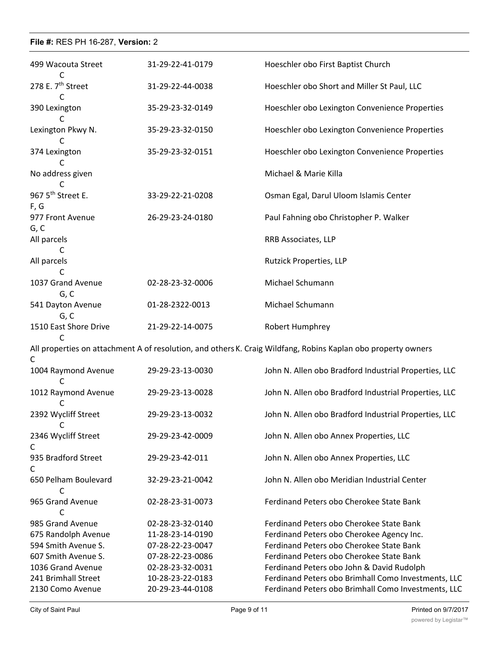| 499 Wacouta Street                    | 31-29-22-41-0179 | Hoeschler obo First Baptist Church                                                                            |
|---------------------------------------|------------------|---------------------------------------------------------------------------------------------------------------|
| 278 E. 7 <sup>th</sup> Street         | 31-29-22-44-0038 | Hoeschler obo Short and Miller St Paul, LLC                                                                   |
| C<br>390 Lexington                    | 35-29-23-32-0149 | Hoeschler obo Lexington Convenience Properties                                                                |
| Lexington Pkwy N.<br>C                | 35-29-23-32-0150 | Hoeschler obo Lexington Convenience Properties                                                                |
| 374 Lexington<br>C                    | 35-29-23-32-0151 | Hoeschler obo Lexington Convenience Properties                                                                |
| No address given<br>C                 |                  | Michael & Marie Killa                                                                                         |
| 967 5 <sup>th</sup> Street E.<br>F, G | 33-29-22-21-0208 | Osman Egal, Darul Uloom Islamis Center                                                                        |
| 977 Front Avenue<br>G, C              | 26-29-23-24-0180 | Paul Fahning obo Christopher P. Walker                                                                        |
| All parcels<br>C                      |                  | RRB Associates, LLP                                                                                           |
| All parcels<br>C                      |                  | Rutzick Properties, LLP                                                                                       |
| 1037 Grand Avenue<br>G, C             | 02-28-23-32-0006 | Michael Schumann                                                                                              |
| 541 Dayton Avenue<br>G, C             | 01-28-2322-0013  | Michael Schumann                                                                                              |
| 1510 East Shore Drive<br>C            | 21-29-22-14-0075 | Robert Humphrey                                                                                               |
| C                                     |                  | All properties on attachment A of resolution, and others K. Craig Wildfang, Robins Kaplan obo property owners |
| 1004 Raymond Avenue                   | 29-29-23-13-0030 | John N. Allen obo Bradford Industrial Properties, LLC                                                         |
| 1012 Raymond Avenue                   | 29-29-23-13-0028 | John N. Allen obo Bradford Industrial Properties, LLC                                                         |
| 2392 Wycliff Street<br>С              | 29-29-23-13-0032 | John N. Allen obo Bradford Industrial Properties, LLC                                                         |
| 2346 Wycliff Street<br>C              | 29-29-23-42-0009 | John N. Allen obo Annex Properties, LLC                                                                       |
| 935 Bradford Street<br>C              | 29-29-23-42-011  | John N. Allen obo Annex Properties, LLC                                                                       |
| 650 Pelham Boulevard<br>C             | 32-29-23-21-0042 | John N. Allen obo Meridian Industrial Center                                                                  |
| 965 Grand Avenue<br>C                 | 02-28-23-31-0073 | Ferdinand Peters obo Cherokee State Bank                                                                      |
| 985 Grand Avenue                      | 02-28-23-32-0140 | Ferdinand Peters obo Cherokee State Bank                                                                      |
|                                       |                  |                                                                                                               |
| 675 Randolph Avenue                   | 11-28-23-14-0190 | Ferdinand Peters obo Cherokee Agency Inc.                                                                     |
| 594 Smith Avenue S.                   | 07-28-22-23-0047 | Ferdinand Peters obo Cherokee State Bank                                                                      |
| 607 Smith Avenue S.                   | 07-28-22-23-0086 | Ferdinand Peters obo Cherokee State Bank                                                                      |
| 1036 Grand Avenue                     | 02-28-23-32-0031 | Ferdinand Peters obo John & David Rudolph                                                                     |
| 241 Brimhall Street                   | 10-28-23-22-0183 | Ferdinand Peters obo Brimhall Como Investments, LLC                                                           |
| 2130 Como Avenue                      | 20-29-23-44-0108 | Ferdinand Peters obo Brimhall Como Investments, LLC                                                           |
|                                       |                  |                                                                                                               |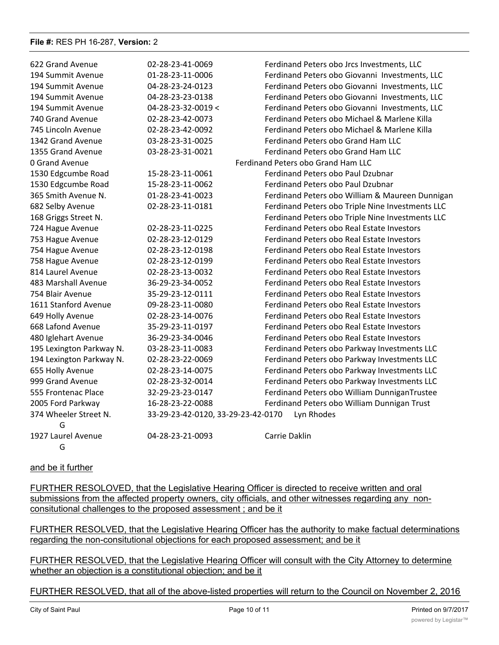| 622 Grand Avenue         | 02-28-23-41-0069                   | Ferdinand Peters obo Jrcs Investments, LLC       |
|--------------------------|------------------------------------|--------------------------------------------------|
| 194 Summit Avenue        | 01-28-23-11-0006                   | Ferdinand Peters obo Giovanni Investments, LLC   |
| 194 Summit Avenue        | 04-28-23-24-0123                   | Ferdinand Peters obo Giovanni Investments, LLC   |
| 194 Summit Avenue        | 04-28-23-23-0138                   | Ferdinand Peters obo Giovanni Investments, LLC   |
| 194 Summit Avenue        | 04-28-23-32-0019 <                 | Ferdinand Peters obo Giovanni Investments, LLC   |
| 740 Grand Avenue         | 02-28-23-42-0073                   | Ferdinand Peters obo Michael & Marlene Killa     |
| 745 Lincoln Avenue       | 02-28-23-42-0092                   | Ferdinand Peters obo Michael & Marlene Killa     |
| 1342 Grand Avenue        | 03-28-23-31-0025                   | Ferdinand Peters obo Grand Ham LLC               |
| 1355 Grand Avenue        | 03-28-23-31-0021                   | Ferdinand Peters obo Grand Ham LLC               |
| 0 Grand Avenue           |                                    | Ferdinand Peters obo Grand Ham LLC               |
| 1530 Edgcumbe Road       | 15-28-23-11-0061                   | Ferdinand Peters obo Paul Dzubnar                |
| 1530 Edgcumbe Road       | 15-28-23-11-0062                   | Ferdinand Peters obo Paul Dzubnar                |
| 365 Smith Avenue N.      | 01-28-23-41-0023                   | Ferdinand Peters obo William & Maureen Dunnigan  |
| 682 Selby Avenue         | 02-28-23-11-0181                   | Ferdinand Peters obo Triple Nine Investments LLC |
| 168 Griggs Street N.     |                                    | Ferdinand Peters obo Triple Nine Investments LLC |
| 724 Hague Avenue         | 02-28-23-11-0225                   | Ferdinand Peters obo Real Estate Investors       |
| 753 Hague Avenue         | 02-28-23-12-0129                   | Ferdinand Peters obo Real Estate Investors       |
| 754 Hague Avenue         | 02-28-23-12-0198                   | Ferdinand Peters obo Real Estate Investors       |
| 758 Hague Avenue         | 02-28-23-12-0199                   | Ferdinand Peters obo Real Estate Investors       |
| 814 Laurel Avenue        | 02-28-23-13-0032                   | Ferdinand Peters obo Real Estate Investors       |
| 483 Marshall Avenue      | 36-29-23-34-0052                   | Ferdinand Peters obo Real Estate Investors       |
| 754 Blair Avenue         | 35-29-23-12-0111                   | Ferdinand Peters obo Real Estate Investors       |
| 1611 Stanford Avenue     | 09-28-23-11-0080                   | Ferdinand Peters obo Real Estate Investors       |
| 649 Holly Avenue         | 02-28-23-14-0076                   | Ferdinand Peters obo Real Estate Investors       |
| 668 Lafond Avenue        | 35-29-23-11-0197                   | Ferdinand Peters obo Real Estate Investors       |
| 480 Iglehart Avenue      | 36-29-23-34-0046                   | Ferdinand Peters obo Real Estate Investors       |
| 195 Lexington Parkway N. | 03-28-23-11-0083                   | Ferdinand Peters obo Parkway Investments LLC     |
| 194 Lexington Parkway N. | 02-28-23-22-0069                   | Ferdinand Peters obo Parkway Investments LLC     |
| 655 Holly Avenue         | 02-28-23-14-0075                   | Ferdinand Peters obo Parkway Investments LLC     |
| 999 Grand Avenue         | 02-28-23-32-0014                   | Ferdinand Peters obo Parkway Investments LLC     |
| 555 Frontenac Place      | 32-29-23-23-0147                   | Ferdinand Peters obo William DunniganTrustee     |
| 2005 Ford Parkway        | 16-28-23-22-0088                   | Ferdinand Peters obo William Dunnigan Trust      |
| 374 Wheeler Street N.    | 33-29-23-42-0120, 33-29-23-42-0170 | Lyn Rhodes                                       |
| G                        |                                    |                                                  |
| 1927 Laurel Avenue       | 04-28-23-21-0093                   | Carrie Daklin                                    |
| G                        |                                    |                                                  |

### and be it further

FURTHER RESOLOVED, that the Legislative Hearing Officer is directed to receive written and oral submissions from the affected property owners, city officials, and other witnesses regarding any nonconsitutional challenges to the proposed assessment ; and be it

FURTHER RESOLVED, that the Legislative Hearing Officer has the authority to make factual determinations regarding the non-consitutional objections for each proposed assessment; and be it

FURTHER RESOLVED, that the Legislative Hearing Officer will consult with the City Attorney to determine whether an objection is a constitutional objection; and be it

FURTHER RESOLVED, that all of the above-listed properties will return to the Council on November 2, 2016